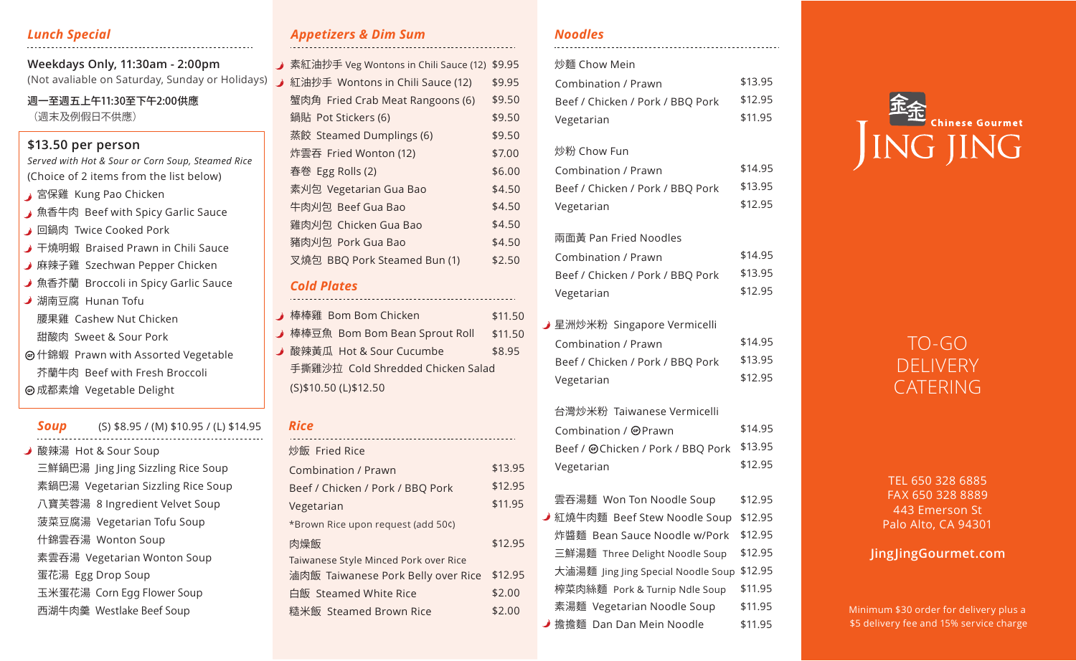# *Lunch Special*

(Not avaliable on Saturday, Sunday or Holidays) **Weekdays Only, 11:30am - 2:00pm**

週一至週五上午11:30至下午2:00供應 (週末及例假日不供應)

# **\$13.50 per person**

*Served with Hot & Sour or Corn Soup, Steamed Rice* (Choice of 2 items from the list below)

- **G** 宮保雞 Kung Pao Chicken
- 魚香牛肉 Beef with Spicy Garlic Sauce
- **A** 回鍋肉 Twice Cooked Pork
- 干燒明蝦 Braised Prawn in Chili Sauce
- 麻辣子雞 Szechwan Pepper Chicken
- 魚香芥蘭 Broccoli in Spicy Garlic Sauce
- **湖南豆腐 Hunan Tofu** 
	- 腰果雞 Cashew Nut Chicken
- 甜酸肉 Sweet & Sour Pork
- 什錦蝦 Prawn with Assorted Vegetable
- 芥蘭牛肉 Beef with Fresh Broccoli 成都素䱀 Vegetable Delight

*Soup* **J** 酸辣湯 Hot & Sour Soup 三鮮鍋巴湯 Jing Jing Sizzling Rice Soup 素鍋巴湯 Vegetarian Sizzling Rice Soup 八寶芙蓉湯 8 Ingredient Velvet Soup 菠菜豆腐湯 Vegetarian Tofu Soup 什錦雲呑湯 Wonton Soup 素雲呑湯 Vegetarian Wonton Soup 蛋花湯 Egg Drop Soup 玉米蛋花湯 Corn Egg Flower Soup 西湖牛肉羹 Westlake Beef Soup (S) \$8.95 / (M) \$10.95 / (L) \$14.95

# *Appetizers & Dim Sum*

| 素紅油抄手 Veg Wontons in Chili Sauce (12) | \$9.95 |
|---------------------------------------|--------|
| 紅油抄手 Wontons in Chili Sauce (12)      | \$9.95 |
| 蟹肉角 Fried Crab Meat Rangoons (6)      | \$9.50 |
| 鍋貼 Pot Stickers (6)                   | \$9.50 |
| 蒸餃 Steamed Dumplings (6)              | \$9.50 |
| 炸雲吞 Fried Wonton (12)                 | \$7.00 |
| 春卷 Egg Rolls (2)                      | \$6.00 |
| 素刈包 Vegetarian Gua Bao                | \$4.50 |
| 牛肉刈包 Beef Gua Bao                     | \$4.50 |
| 雞肉刈包 Chicken Gua Bao                  | \$4.50 |
| 豬肉刈包 Pork Gua Bao                     | \$4.50 |
| 叉燒包 BBQ Pork Steamed Bun (1)          | \$2.50 |
|                                       |        |

#### *Cold Plates*

| ♪ 棒棒雞 Bom Bom Chicken             | \$11.50 |
|-----------------------------------|---------|
| → 棒棒豆魚 Bom Bom Bean Sprout Roll   | \$11.50 |
| ♪ 酸辣黃瓜 Hot & Sour Cucumbe         | \$8.95  |
| 手撕雞沙拉 Cold Shredded Chicken Salad |         |
| (S)\$10.50 (L)\$12.50             |         |

#### *Rice*

| 炒飯 Fried Rice                         |         |
|---------------------------------------|---------|
| Combination / Prawn                   | \$13.95 |
| Beef / Chicken / Pork / BBQ Pork      | \$12.95 |
| Vegetarian                            | \$11.95 |
| *Brown Rice upon request (add 50¢)    |         |
| 肉燥飯                                   | \$12.95 |
| Taiwanese Style Minced Pork over Rice |         |
| 滷肉飯 Taiwanese Pork Belly over Rice    | \$12.95 |
| 白飯 Steamed White Rice                 | \$2.00  |
| 糙米飯 Steamed Brown Rice                | \$2.00  |
|                                       |         |

# *Noodles*

### 炒麵 Chow Mein

| Combination / Prawn              | \$13.95 |
|----------------------------------|---------|
| Beef / Chicken / Pork / BBQ Pork | \$12.95 |
| Vegetarian                       | \$11.95 |
|                                  |         |

#### 炒粉 Chow Fun

| Combination / Prawn              | \$14.95 |
|----------------------------------|---------|
| Beef / Chicken / Pork / BBQ Pork | \$13.95 |
| Vegetarian                       | \$12.95 |

#### 兩面黃 Pan Fried Noodles Combination / Prawn Beef / Chicken / Pork / BBQ Pork Vegetarian \$14.95 \$13.95 \$12.95

星洲炒米粉 Singapore Vermicelli Combination / Prawn Beef / Chicken / Pork / BBQ Pork Vegetarian \$14.95 \$13.95 \$12.95

#### 台灣炒米粉 Taiwanese Vermicelli

| Combination / @Prawn                      | \$14.95 |
|-------------------------------------------|---------|
| Beef / @Chicken / Pork / BBQ Pork \$13.95 |         |
| Vegetarian                                | \$12.95 |

| 雲吞湯麵 Won Ton Noodle Soup           | \$12.95 |  |
|------------------------------------|---------|--|
| ♪ 紅燒牛肉麵 Beef Stew Noodle Soup      | \$12.95 |  |
| 炸醬麵 Bean Sauce Noodle w/Pork       | \$12.95 |  |
| 三鮮湯麵 Three Delight Noodle Soup     | \$12.95 |  |
| 大滷湯麵 Jing Jing Special Noodle Soup | \$12.95 |  |
| 榨菜肉絲麵 Pork & Turnip Ndle Soup      | \$11.95 |  |
| 素湯麵 Vegetarian Noodle Soup         | \$11.95 |  |
| ✔ 擔擔麵  Dan Dan Mein Noodle         | \$11.95 |  |



# TO-GO DELIVERY CATERING

TEL 650 328 6885 FAX 650 328 8889 443 Emerson St Palo Alto, CA 94301

# **JingJingGourmet.com**

Minimum \$30 order for delivery plus a \$5 delivery fee and 15% service charge